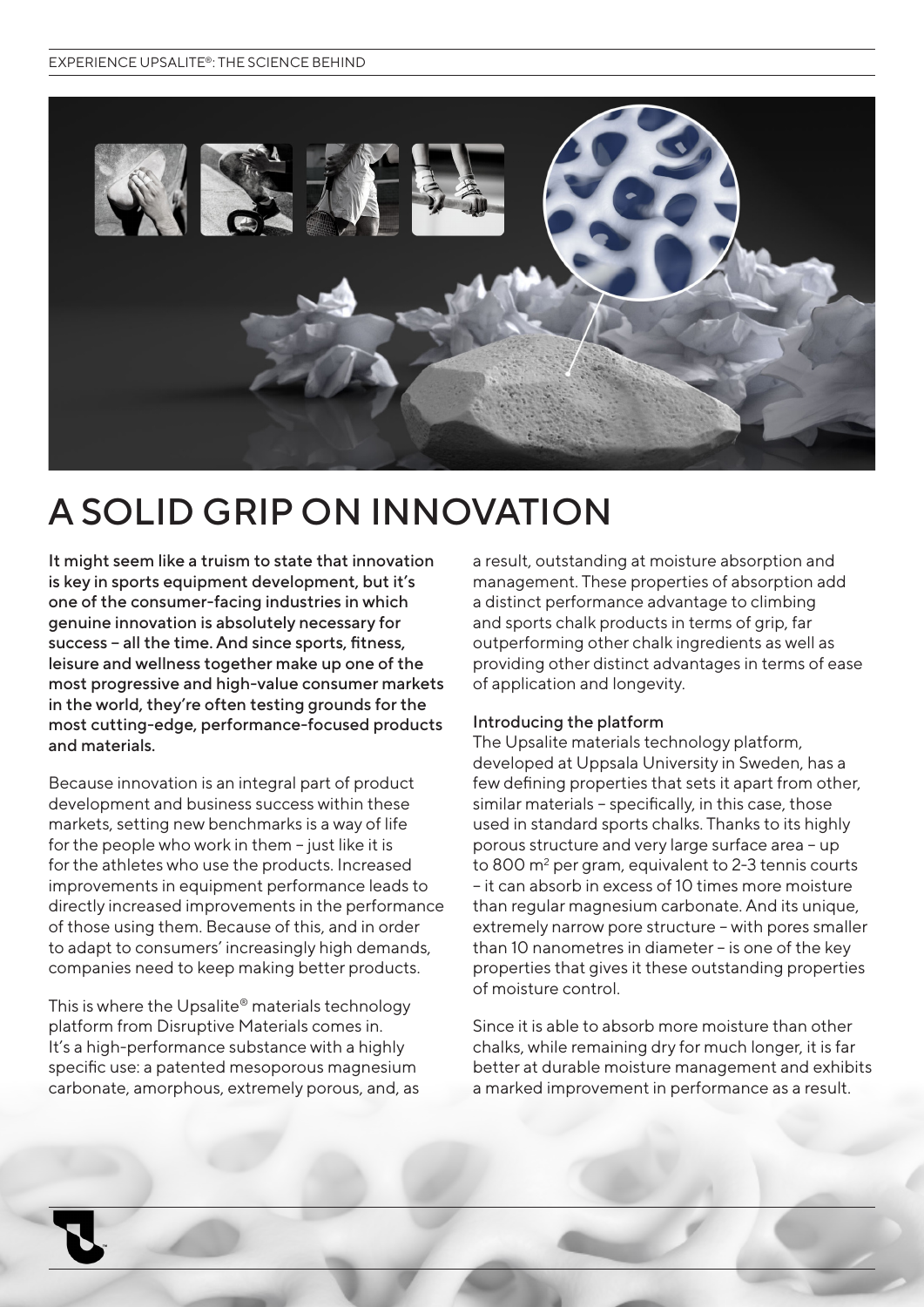

# A SOLID GRIP ON INNOVATION

It might seem like a truism to state that innovation is key in sports equipment development, but it's one of the consumer-facing industries in which genuine innovation is absolutely necessary for success – all the time. And since sports, fitness, leisure and wellness together make up one of the most progressive and high-value consumer markets in the world, they're often testing grounds for the most cutting-edge, performance-focused products and materials.

Because innovation is an integral part of product development and business success within these markets, setting new benchmarks is a way of life for the people who work in them – just like it is for the athletes who use the products. Increased improvements in equipment performance leads to directly increased improvements in the performance of those using them. Because of this, and in order to adapt to consumers' increasingly high demands, companies need to keep making better products.

This is where the Upsalite® materials technology platform from Disruptive Materials comes in. It's a high-performance substance with a highly specific use: a patented mesoporous magnesium carbonate, amorphous, extremely porous, and, as a result, outstanding at moisture absorption and management. These properties of absorption add a distinct performance advantage to climbing and sports chalk products in terms of grip, far outperforming other chalk ingredients as well as providing other distinct advantages in terms of ease of application and longevity.

## Introducing the platform

The Upsalite materials technology platform, developed at Uppsala University in Sweden, has a few defining properties that sets it apart from other, similar materials – specifically, in this case, those used in standard sports chalks. Thanks to its highly porous structure and very large surface area – up to 800  $\mathrm{m}^2$  per gram, equivalent to 2-3 tennis courts – it can absorb in excess of 10 times more moisture than regular magnesium carbonate. And its unique, extremely narrow pore structure – with pores smaller than 10 nanometres in diameter – is one of the key properties that gives it these outstanding properties of moisture control.

Since it is able to absorb more moisture than other chalks, while remaining dry for much longer, it is far better at durable moisture management and exhibits a marked improvement in performance as a result.

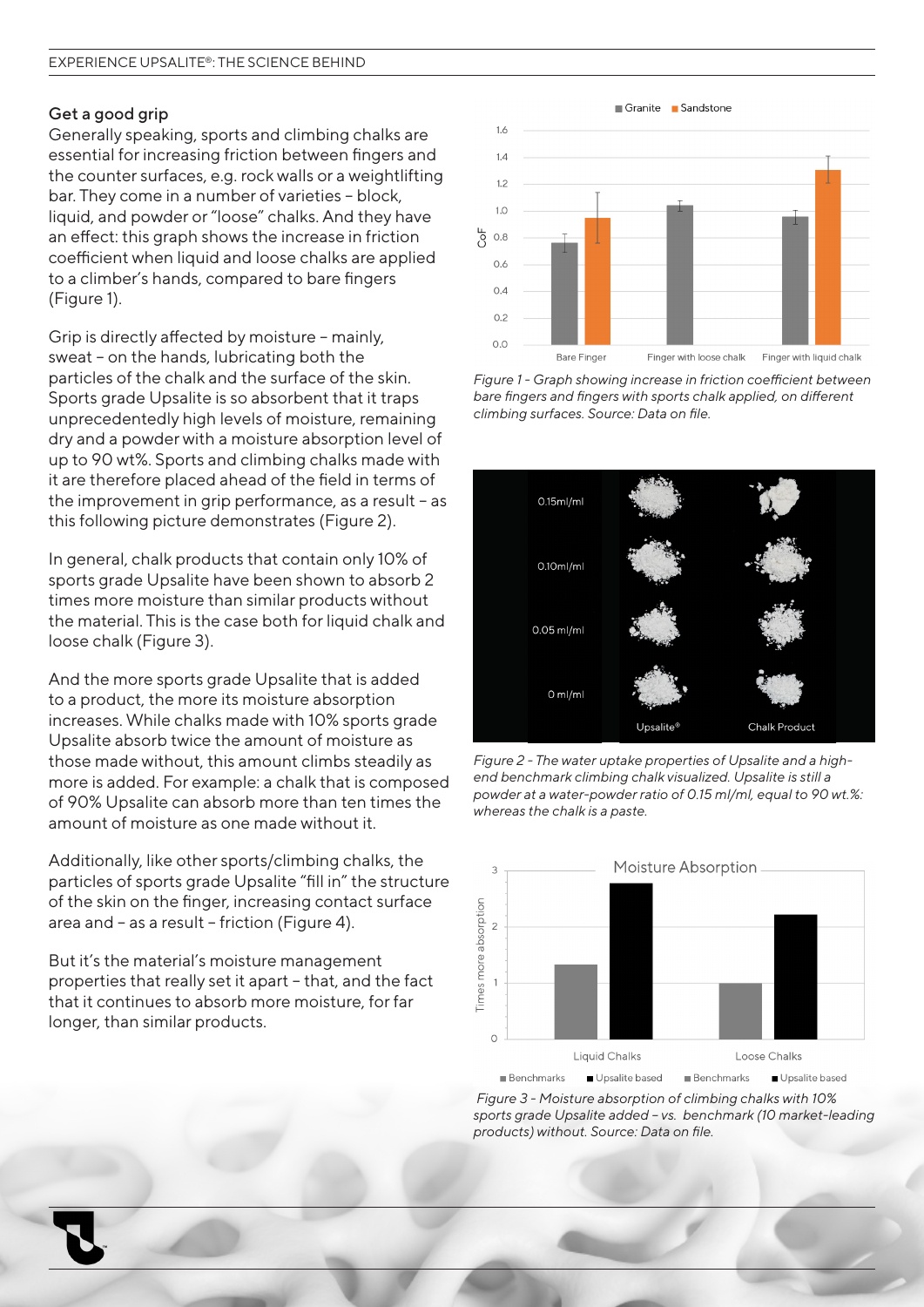#### Get a good grip

Generally speaking, sports and climbing chalks are essential for increasing friction between fingers and the counter surfaces, e.g. rock walls or a weightlifting bar. They come in a number of varieties – block, liquid, and powder or "loose" chalks. And they have an effect: this graph shows the increase in friction coefficient when liquid and loose chalks are applied to a climber's hands, compared to bare fingers (Figure 1).

Grip is directly affected by moisture – mainly, sweat – on the hands, lubricating both the particles of the chalk and the surface of the skin. Sports grade Upsalite is so absorbent that it traps unprecedentedly high levels of moisture, remaining dry and a powder with a moisture absorption level of up to 90 wt%. Sports and climbing chalks made with it are therefore placed ahead of the field in terms of the improvement in grip performance, as a result – as this following picture demonstrates (Figure 2).

In general, chalk products that contain only 10% of sports grade Upsalite have been shown to absorb 2 times more moisture than similar products without the material. This is the case both for liquid chalk and loose chalk (Figure 3).

And the more sports grade Upsalite that is added to a product, the more its moisture absorption increases. While chalks made with 10% sports grade Upsalite absorb twice the amount of moisture as those made without, this amount climbs steadily as more is added. For example: a chalk that is composed of 90% Upsalite can absorb more than ten times the amount of moisture as one made without it.

Additionally, like other sports/climbing chalks, the particles of sports grade Upsalite "fill in" the structure of the skin on the finger, increasing contact surface area and – as a result – friction (Figure 4).

But it's the material's moisture management properties that really set it apart – that, and the fact that it continues to absorb more moisture, for far longer, than similar products.



*Figure 1 - Graph showing increase in friction coefficient between bare fingers and fingers with sports chalk applied, on different climbing surfaces. Source: Data on file.*



*Figure 2 - The water uptake properties of Upsalite and a highend benchmark climbing chalk visualized. Upsalite is still a powder at a water-powder ratio of 0.15 ml/ml, equal to 90 wt.%: whereas the chalk is a paste.*



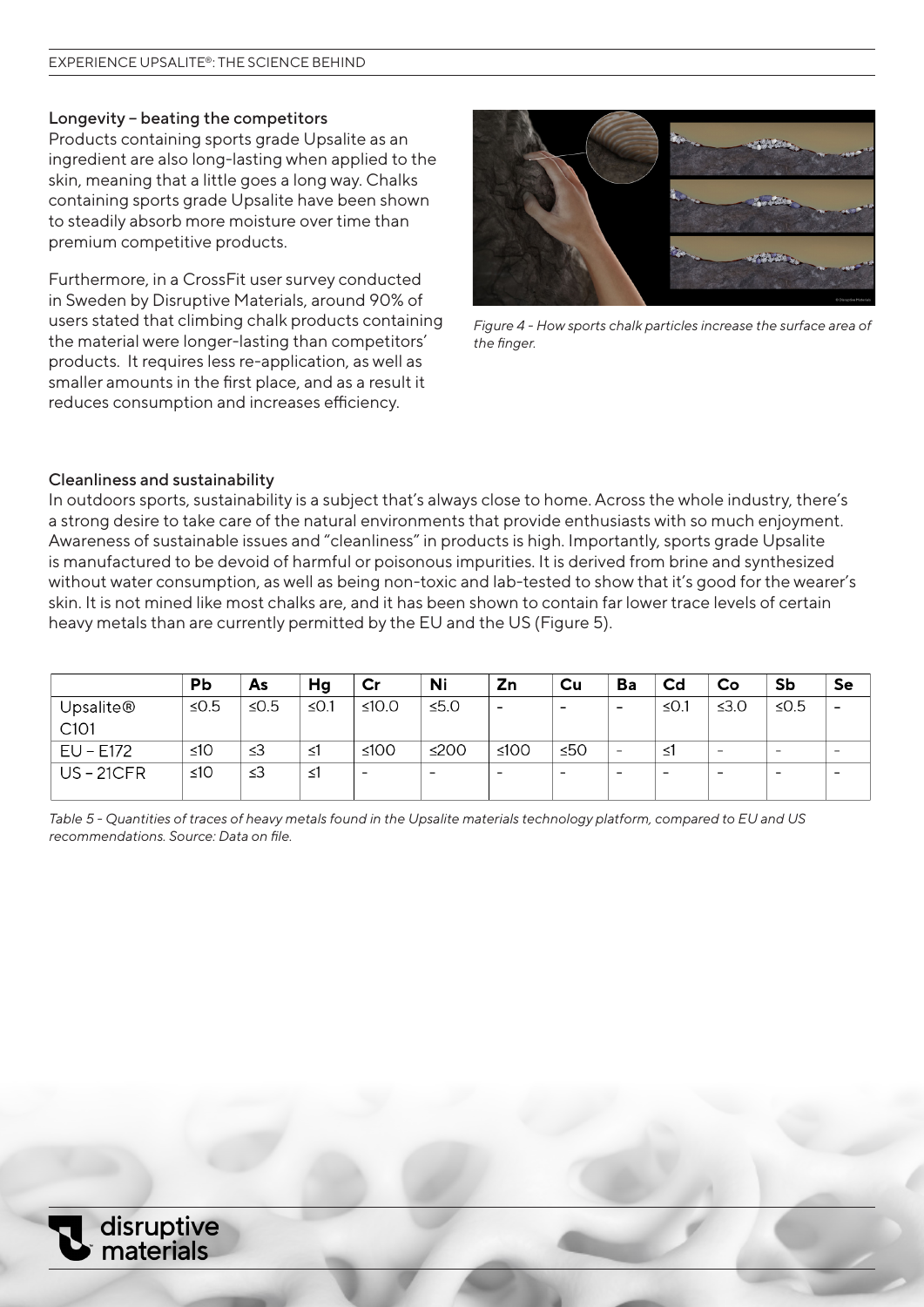## Longevity – beating the competitors

Products containing sports grade Upsalite as an ingredient are also long-lasting when applied to the skin, meaning that a little goes a long way. Chalks containing sports grade Upsalite have been shown to steadily absorb more moisture over time than premium competitive products.

Furthermore, in a CrossFit user survey conducted in Sweden by Disruptive Materials, around 90% of users stated that climbing chalk products containing the material were longer-lasting than competitors' products. It requires less re-application, as well as smaller amounts in the first place, and as a result it reduces consumption and increases efficiency.



*Figure 4 - How sports chalk particles increase the surface area of the finger.*

#### Cleanliness and sustainability

In outdoors sports, sustainability is a subject that's always close to home. Across the whole industry, there's a strong desire to take care of the natural environments that provide enthusiasts with so much enjoyment. Awareness of sustainable issues and "cleanliness" in products is high. Importantly, sports grade Upsalite is manufactured to be devoid of harmful or poisonous impurities. It is derived from brine and synthesized without water consumption, as well as being non-toxic and lab-tested to show that it's good for the wearer's skin. It is not mined like most chalks are, and it has been shown to contain far lower trace levels of certain heavy metals than are currently permitted by the EU and the US (Figure 5).

|                               | Pb        | As         | Hg         | Cr                       | Ni                       | Zn                       | Cu                       | Ba                       | Cd         | Co                       | Sb                       | Se                       |
|-------------------------------|-----------|------------|------------|--------------------------|--------------------------|--------------------------|--------------------------|--------------------------|------------|--------------------------|--------------------------|--------------------------|
| Upsalite®<br>C <sub>101</sub> | ≤ $0.5$   | $\leq$ 0.5 | $\leq$ 0.1 | ≤10.0                    | $\leq 5.0$               | $\overline{\phantom{a}}$ | $\overline{\phantom{0}}$ | $\overline{\phantom{0}}$ | $\leq$ 0.1 | $\leq 3.0$               | $\leq$ 0.5               | $\overline{\phantom{0}}$ |
| EU - E172                     | ≤10       | $\leq$ 3   | ≤1         | ≤100                     | ≤200                     | $≤100$                   | ≤50                      | $\overline{\phantom{a}}$ | ≤1         | $\overline{\phantom{0}}$ | $\qquad \qquad$          | $\overline{\phantom{0}}$ |
| <b>US-21CFR</b>               | $\leq 10$ | $\leq$ 3   | ≤1         | $\overline{\phantom{0}}$ | $\overline{\phantom{0}}$ | -                        | $\overline{\phantom{0}}$ | $\overline{\phantom{0}}$ |            | $\overline{\phantom{0}}$ | $\overline{\phantom{0}}$ | $\overline{\phantom{0}}$ |

*Table 5 - Quantities of traces of heavy metals found in the Upsalite materials technology platform, compared to EU and US recommendations. Source: Data on file.*